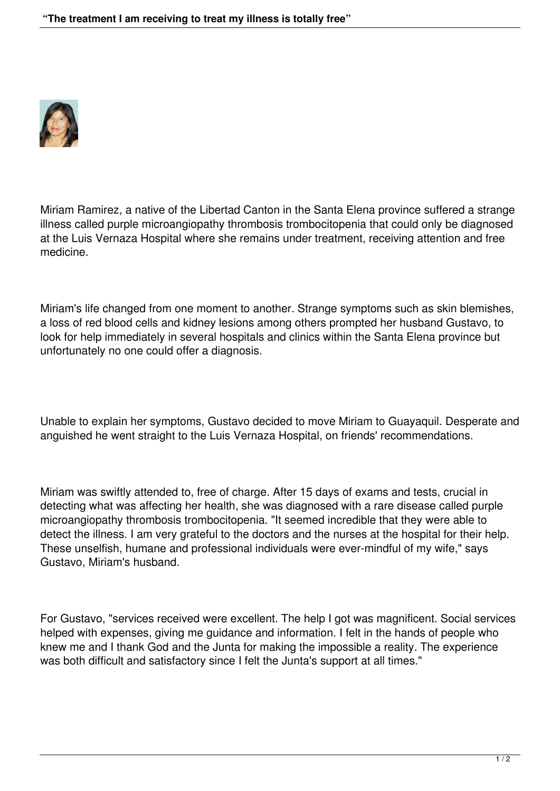

Miriam Ramirez, a native of the Libertad Canton in the Santa Elena province suffered a strange illness called purple microangiopathy thrombosis trombocitopenia that could only be diagnosed at the Luis Vernaza Hospital where she remains under treatment, receiving attention and free medicine.

Miriam's life changed from one moment to another. Strange symptoms such as skin blemishes, a loss of red blood cells and kidney lesions among others prompted her husband Gustavo, to look for help immediately in several hospitals and clinics within the Santa Elena province but unfortunately no one could offer a diagnosis.

Unable to explain her symptoms, Gustavo decided to move Miriam to Guayaquil. Desperate and anguished he went straight to the Luis Vernaza Hospital, on friends' recommendations.

Miriam was swiftly attended to, free of charge. After 15 days of exams and tests, crucial in detecting what was affecting her health, she was diagnosed with a rare disease called purple microangiopathy thrombosis trombocitopenia. "It seemed incredible that they were able to detect the illness. I am very grateful to the doctors and the nurses at the hospital for their help. These unselfish, humane and professional individuals were ever-mindful of my wife," says Gustavo, Miriam's husband.

For Gustavo, "services received were excellent. The help I got was magnificent. Social services helped with expenses, giving me guidance and information. I felt in the hands of people who knew me and I thank God and the Junta for making the impossible a reality. The experience was both difficult and satisfactory since I felt the Junta's support at all times."